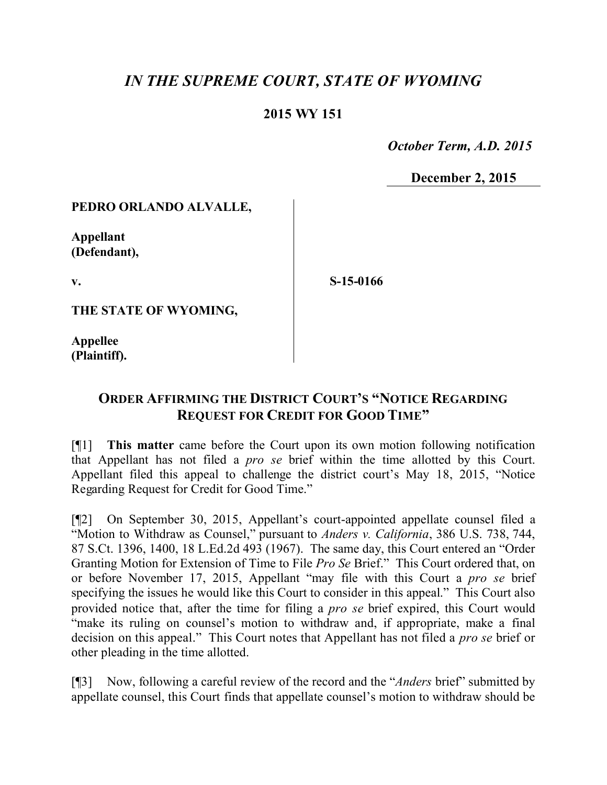# *IN THE SUPREME COURT, STATE OF WYOMING*

## **2015 WY 151**

 *October Term, A.D. 2015*

**December 2, 2015**

#### **PEDRO ORLANDO ALVALLE,**

**Appellant (Defendant),**

**v.**

**S-15-0166**

**THE STATE OF WYOMING,**

**Appellee (Plaintiff).**

# **ORDER AFFIRMING THE DISTRICT COURT'S "NOTICE REGARDING REQUEST FOR CREDIT FOR GOOD TIME"**

[¶1] **This matter** came before the Court upon its own motion following notification that Appellant has not filed a *pro se* brief within the time allotted by this Court. Appellant filed this appeal to challenge the district court's May 18, 2015, "Notice Regarding Request for Credit for Good Time."

[¶2] On September 30, 2015, Appellant's court-appointed appellate counsel filed a "Motion to Withdraw as Counsel," pursuant to *Anders v. California*, 386 U.S. 738, 744, 87 S.Ct. 1396, 1400, 18 L.Ed.2d 493 (1967). The same day, this Court entered an "Order Granting Motion for Extension of Time to File *Pro Se* Brief." This Court ordered that, on or before November 17, 2015, Appellant "may file with this Court a *pro se* brief specifying the issues he would like this Court to consider in this appeal." This Court also provided notice that, after the time for filing a *pro se* brief expired, this Court would "make its ruling on counsel's motion to withdraw and, if appropriate, make a final decision on this appeal." This Court notes that Appellant has not filed a *pro se* brief or other pleading in the time allotted.

[¶3] Now, following a careful review of the record and the "*Anders* brief" submitted by appellate counsel, this Court finds that appellate counsel's motion to withdraw should be